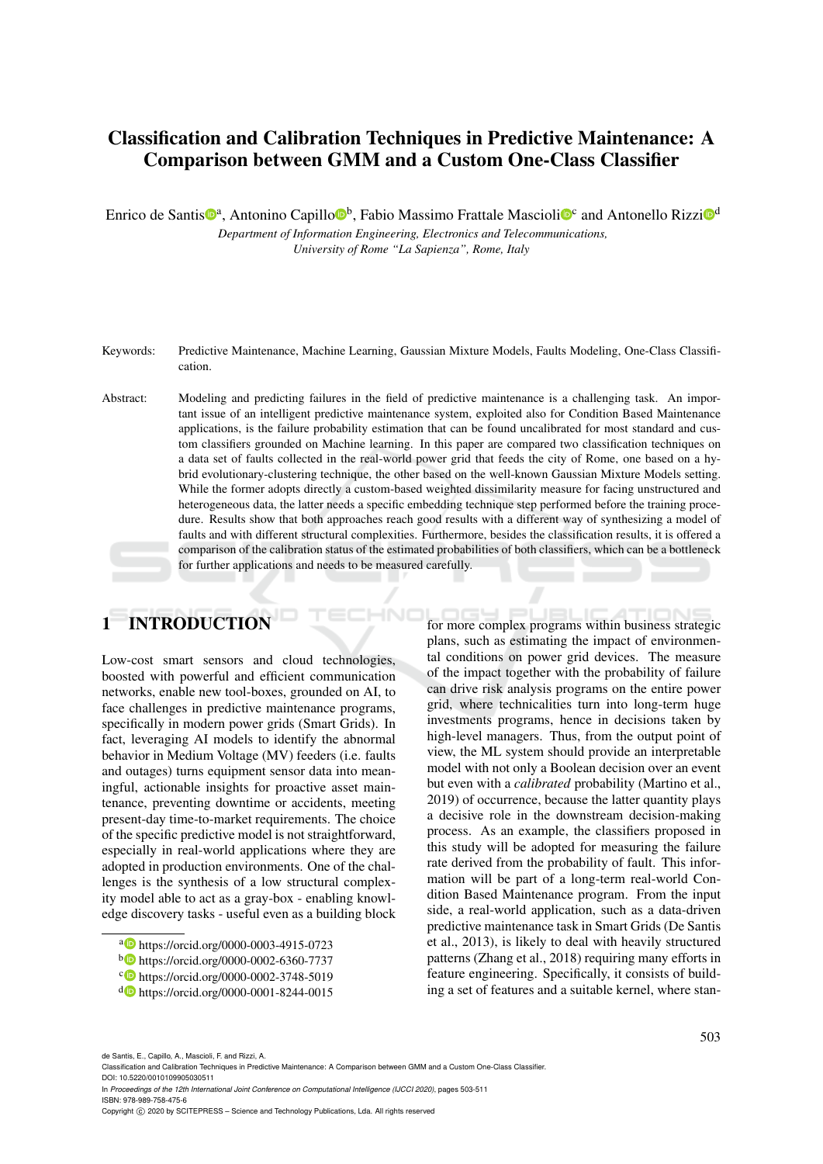# Classification and Calibration Techniques in Predictive Maintenance: A Comparison between GMM and a Custom One-Class Classifier

Enrico de Santis<sup>toa</sup>, Antonino Capillo<sup>tob</sup>, Fabio Massimo Frattale Mascioli<sup>toc</sup> and Antonello Rizzi<sup>tod</sup>

*Department of Information Engineering, Electronics and Telecommunications, University of Rome "La Sapienza", Rome, Italy*

- Keywords: Predictive Maintenance, Machine Learning, Gaussian Mixture Models, Faults Modeling, One-Class Classification.
- Abstract: Modeling and predicting failures in the field of predictive maintenance is a challenging task. An important issue of an intelligent predictive maintenance system, exploited also for Condition Based Maintenance applications, is the failure probability estimation that can be found uncalibrated for most standard and custom classifiers grounded on Machine learning. In this paper are compared two classification techniques on a data set of faults collected in the real-world power grid that feeds the city of Rome, one based on a hybrid evolutionary-clustering technique, the other based on the well-known Gaussian Mixture Models setting. While the former adopts directly a custom-based weighted dissimilarity measure for facing unstructured and heterogeneous data, the latter needs a specific embedding technique step performed before the training procedure. Results show that both approaches reach good results with a different way of synthesizing a model of faults and with different structural complexities. Furthermore, besides the classification results, it is offered a comparison of the calibration status of the estimated probabilities of both classifiers, which can be a bottleneck for further applications and needs to be measured carefully.

# 1 INTRODUCTION

Low-cost smart sensors and cloud technologies, boosted with powerful and efficient communication networks, enable new tool-boxes, grounded on AI, to face challenges in predictive maintenance programs, specifically in modern power grids (Smart Grids). In fact, leveraging AI models to identify the abnormal behavior in Medium Voltage (MV) feeders (i.e. faults and outages) turns equipment sensor data into meaningful, actionable insights for proactive asset maintenance, preventing downtime or accidents, meeting present-day time-to-market requirements. The choice of the specific predictive model is not straightforward, especially in real-world applications where they are adopted in production environments. One of the challenges is the synthesis of a low structural complexity model able to act as a gray-box - enabling knowledge discovery tasks - useful even as a building block

for more complex programs within business strategic plans, such as estimating the impact of environmental conditions on power grid devices. The measure of the impact together with the probability of failure can drive risk analysis programs on the entire power grid, where technicalities turn into long-term huge investments programs, hence in decisions taken by high-level managers. Thus, from the output point of view, the ML system should provide an interpretable model with not only a Boolean decision over an event but even with a *calibrated* probability (Martino et al., 2019) of occurrence, because the latter quantity plays a decisive role in the downstream decision-making process. As an example, the classifiers proposed in this study will be adopted for measuring the failure rate derived from the probability of fault. This information will be part of a long-term real-world Condition Based Maintenance program. From the input side, a real-world application, such as a data-driven predictive maintenance task in Smart Grids (De Santis et al., 2013), is likely to deal with heavily structured patterns (Zhang et al., 2018) requiring many efforts in feature engineering. Specifically, it consists of building a set of features and a suitable kernel, where stan-

de Santis, E., Capillo, A., Mascioli, F. and Rizzi, A.

<sup>a</sup> https://orcid.org/0000-0003-4915-0723

<sup>b</sup> https://orcid.org/0000-0002-6360-7737

c https://orcid.org/0000-0002-3748-5019

<sup>d</sup> https://orcid.org/0000-0001-8244-0015

Classification and Calibration Techniques in Predictive Maintenance: A Comparison between GMM and a Custom One-Class Classifier. DOI: 10.5220/0010109905030511

In *Proceedings of the 12th International Joint Conference on Computational Intelligence (IJCCI 2020)*, pages 503-511 ISBN: 978-989-758-475-6

Copyright (C) 2020 by SCITEPRESS - Science and Technology Publications, Lda. All rights reserved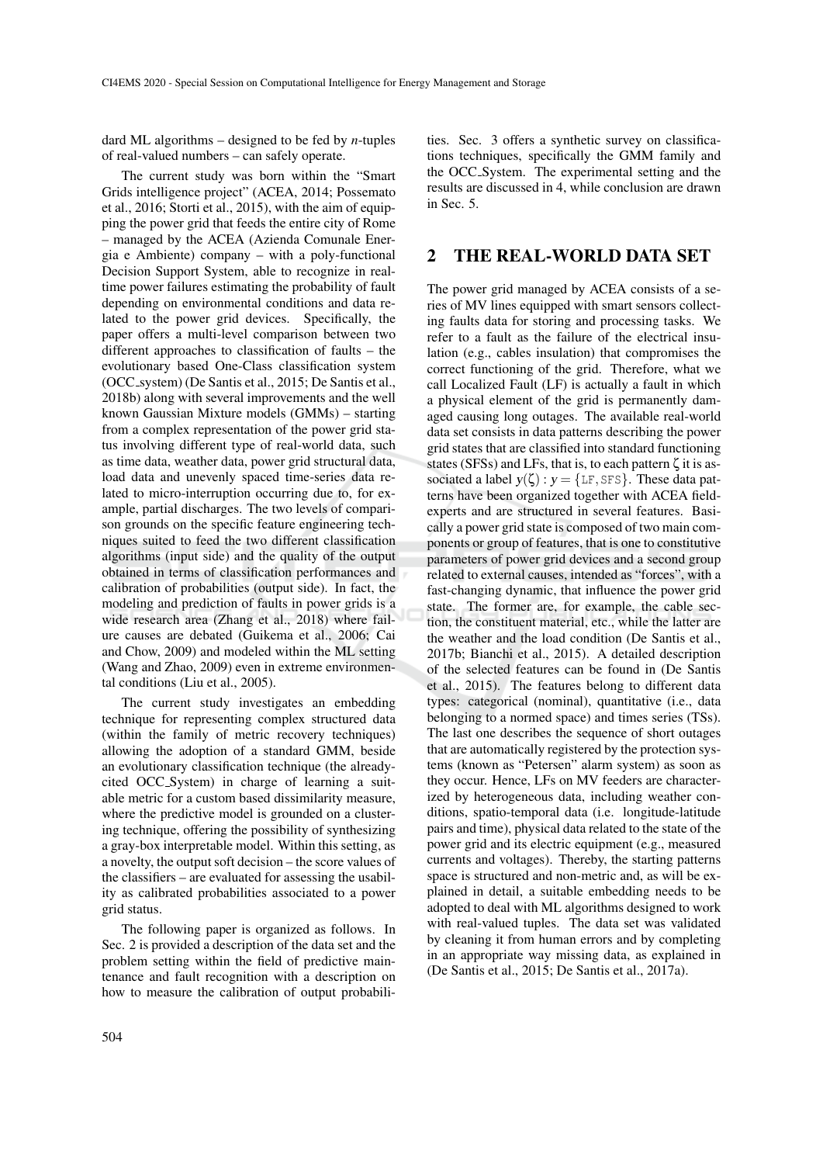dard ML algorithms – designed to be fed by *n*-tuples of real-valued numbers – can safely operate.

The current study was born within the "Smart Grids intelligence project" (ACEA, 2014; Possemato et al., 2016; Storti et al., 2015), with the aim of equipping the power grid that feeds the entire city of Rome – managed by the ACEA (Azienda Comunale Energia e Ambiente) company – with a poly-functional Decision Support System, able to recognize in realtime power failures estimating the probability of fault depending on environmental conditions and data related to the power grid devices. Specifically, the paper offers a multi-level comparison between two different approaches to classification of faults – the evolutionary based One-Class classification system (OCC system) (De Santis et al., 2015; De Santis et al., 2018b) along with several improvements and the well known Gaussian Mixture models (GMMs) – starting from a complex representation of the power grid status involving different type of real-world data, such as time data, weather data, power grid structural data, load data and unevenly spaced time-series data related to micro-interruption occurring due to, for example, partial discharges. The two levels of comparison grounds on the specific feature engineering techniques suited to feed the two different classification algorithms (input side) and the quality of the output obtained in terms of classification performances and calibration of probabilities (output side). In fact, the modeling and prediction of faults in power grids is a wide research area (Zhang et al., 2018) where failure causes are debated (Guikema et al., 2006; Cai and Chow, 2009) and modeled within the ML setting (Wang and Zhao, 2009) even in extreme environmental conditions (Liu et al., 2005).

The current study investigates an embedding technique for representing complex structured data (within the family of metric recovery techniques) allowing the adoption of a standard GMM, beside an evolutionary classification technique (the alreadycited OCC System) in charge of learning a suitable metric for a custom based dissimilarity measure, where the predictive model is grounded on a clustering technique, offering the possibility of synthesizing a gray-box interpretable model. Within this setting, as a novelty, the output soft decision – the score values of the classifiers – are evaluated for assessing the usability as calibrated probabilities associated to a power grid status.

The following paper is organized as follows. In Sec. 2 is provided a description of the data set and the problem setting within the field of predictive maintenance and fault recognition with a description on how to measure the calibration of output probabili-

ties. Sec. 3 offers a synthetic survey on classifications techniques, specifically the GMM family and the OCC System. The experimental setting and the results are discussed in 4, while conclusion are drawn in Sec. 5.

### 2 THE REAL-WORLD DATA SET

The power grid managed by ACEA consists of a series of MV lines equipped with smart sensors collecting faults data for storing and processing tasks. We refer to a fault as the failure of the electrical insulation (e.g., cables insulation) that compromises the correct functioning of the grid. Therefore, what we call Localized Fault (LF) is actually a fault in which a physical element of the grid is permanently damaged causing long outages. The available real-world data set consists in data patterns describing the power grid states that are classified into standard functioning states (SFSs) and LFs, that is, to each pattern  $\zeta$  it is associated a label  $y(\zeta) : y = \{\text{LF}, \text{SFS}\}\.$  These data patterns have been organized together with ACEA fieldexperts and are structured in several features. Basically a power grid state is composed of two main components or group of features, that is one to constitutive parameters of power grid devices and a second group related to external causes, intended as "forces", with a fast-changing dynamic, that influence the power grid state. The former are, for example, the cable section, the constituent material, etc., while the latter are the weather and the load condition (De Santis et al., 2017b; Bianchi et al., 2015). A detailed description of the selected features can be found in (De Santis et al., 2015). The features belong to different data types: categorical (nominal), quantitative (i.e., data belonging to a normed space) and times series (TSs). The last one describes the sequence of short outages that are automatically registered by the protection systems (known as "Petersen" alarm system) as soon as they occur. Hence, LFs on MV feeders are characterized by heterogeneous data, including weather conditions, spatio-temporal data (i.e. longitude-latitude pairs and time), physical data related to the state of the power grid and its electric equipment (e.g., measured currents and voltages). Thereby, the starting patterns space is structured and non-metric and, as will be explained in detail, a suitable embedding needs to be adopted to deal with ML algorithms designed to work with real-valued tuples. The data set was validated by cleaning it from human errors and by completing in an appropriate way missing data, as explained in (De Santis et al., 2015; De Santis et al., 2017a).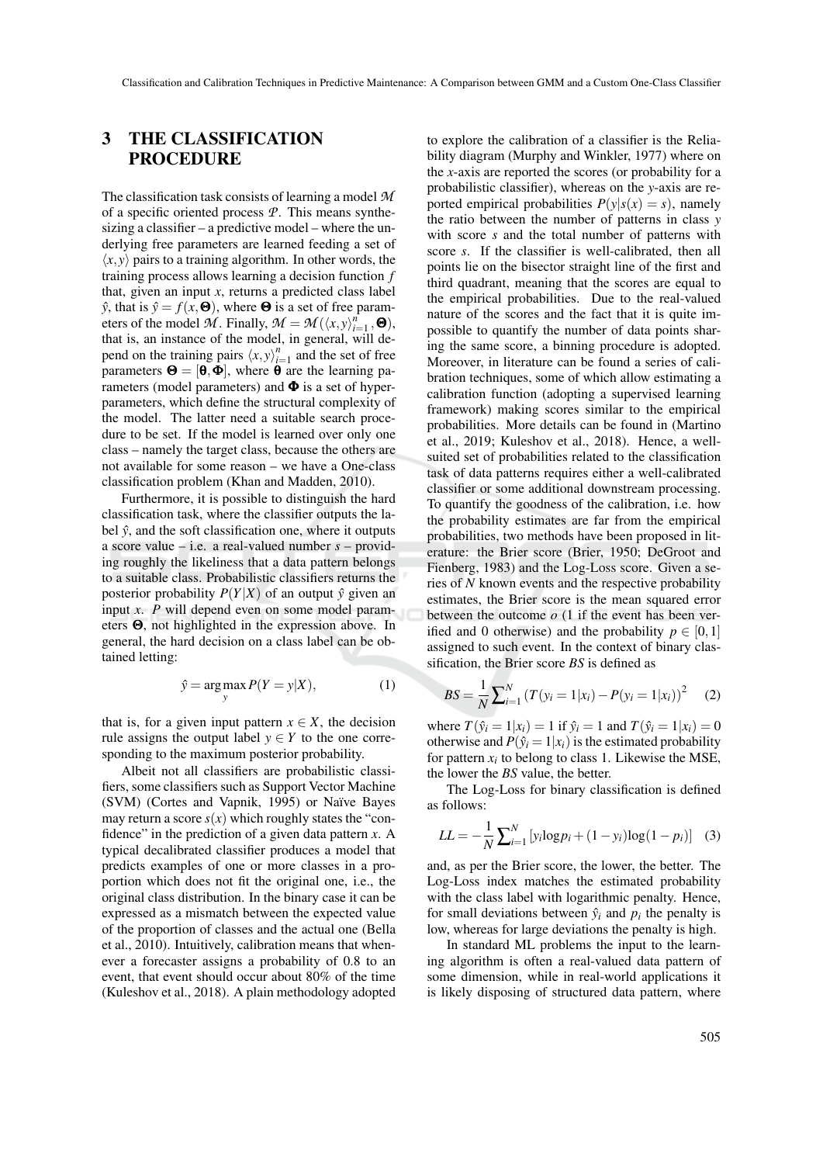## 3 THE CLASSIFICATION PROCEDURE

The classification task consists of learning a model *M* of a specific oriented process *P*. This means synthesizing a classifier – a predictive model – where the underlying free parameters are learned feeding a set of  $\langle x, y \rangle$  pairs to a training algorithm. In other words, the training process allows learning a decision function *f* that, given an input *x*, returns a predicted class label  $\hat{y}$ , that is  $\hat{y} = f(x, \Theta)$ , where  $\Theta$  is a set of free parameters of the model  $\hat{\mathcal{M}}$ . Finally,  $\mathcal{M} = \mathcal{M}(\langle x, y \rangle_{i=1}^n, \Theta)$ , that is, an instance of the model, in general, will depend on the training pairs  $\langle x, y \rangle_{i=1}^n$  and the set of free parameters  $\mathbf{\Theta} = [\mathbf{\Theta}, \mathbf{\Phi}]$ , where **θ** are the learning parameters (model parameters) and  $\Phi$  is a set of hyperparameters, which define the structural complexity of the model. The latter need a suitable search procedure to be set. If the model is learned over only one class – namely the target class, because the others are not available for some reason – we have a One-class classification problem (Khan and Madden, 2010).

Furthermore, it is possible to distinguish the hard classification task, where the classifier outputs the label  $\hat{y}$ , and the soft classification one, where it outputs a score value – i.e. a real-valued number *s* – providing roughly the likeliness that a data pattern belongs to a suitable class. Probabilistic classifiers returns the posterior probability  $P(Y|X)$  of an output  $\hat{y}$  given an input *x*. *P* will depend even on some model parameters Θ, not highlighted in the expression above. In general, the hard decision on a class label can be obtained letting:

$$
\hat{y} = \underset{y}{\arg \max} P(Y = y | X), \tag{1}
$$

that is, for a given input pattern  $x \in X$ , the decision rule assigns the output label  $y \in Y$  to the one corresponding to the maximum posterior probability.

Albeit not all classifiers are probabilistic classifiers, some classifiers such as Support Vector Machine (SVM) (Cortes and Vapnik, 1995) or Naïve Bayes may return a score  $s(x)$  which roughly states the "confidence" in the prediction of a given data pattern *x*. A typical decalibrated classifier produces a model that predicts examples of one or more classes in a proportion which does not fit the original one, i.e., the original class distribution. In the binary case it can be expressed as a mismatch between the expected value of the proportion of classes and the actual one (Bella et al., 2010). Intuitively, calibration means that whenever a forecaster assigns a probability of 0.8 to an event, that event should occur about 80% of the time (Kuleshov et al., 2018). A plain methodology adopted

to explore the calibration of a classifier is the Reliability diagram (Murphy and Winkler, 1977) where on the *x*-axis are reported the scores (or probability for a probabilistic classifier), whereas on the *y*-axis are reported empirical probabilities  $P(y|s(x) = s)$ , namely the ratio between the number of patterns in class *y* with score *s* and the total number of patterns with score *s*. If the classifier is well-calibrated, then all points lie on the bisector straight line of the first and third quadrant, meaning that the scores are equal to the empirical probabilities. Due to the real-valued nature of the scores and the fact that it is quite impossible to quantify the number of data points sharing the same score, a binning procedure is adopted. Moreover, in literature can be found a series of calibration techniques, some of which allow estimating a calibration function (adopting a supervised learning framework) making scores similar to the empirical probabilities. More details can be found in (Martino et al., 2019; Kuleshov et al., 2018). Hence, a wellsuited set of probabilities related to the classification task of data patterns requires either a well-calibrated classifier or some additional downstream processing. To quantify the goodness of the calibration, i.e. how the probability estimates are far from the empirical probabilities, two methods have been proposed in literature: the Brier score (Brier, 1950; DeGroot and Fienberg, 1983) and the Log-Loss score. Given a series of *N* known events and the respective probability estimates, the Brier score is the mean squared error between the outcome  $o(1)$  if the event has been verified and 0 otherwise) and the probability  $p \in [0,1]$ assigned to such event. In the context of binary classification, the Brier score *BS* is defined as

$$
BS = \frac{1}{N} \sum_{i=1}^{N} (T(y_i = 1 | x_i) - P(y_i = 1 | x_i))^2
$$
 (2)

where  $T(\hat{y}_i = 1 | x_i) = 1$  if  $\hat{y}_i = 1$  and  $T(\hat{y}_i = 1 | x_i) = 0$ otherwise and  $P(\hat{y}_i = 1 | x_i)$  is the estimated probability for pattern  $x_i$  to belong to class 1. Likewise the MSE, the lower the *BS* value, the better.

The Log-Loss for binary classification is defined as follows:

$$
LL = -\frac{1}{N} \sum_{i=1}^{N} [y_i \log p_i + (1 - y_i) \log (1 - p_i)] \quad (3)
$$

and, as per the Brier score, the lower, the better. The Log-Loss index matches the estimated probability with the class label with logarithmic penalty. Hence, for small deviations between  $\hat{y}_i$  and  $p_i$  the penalty is low, whereas for large deviations the penalty is high.

In standard ML problems the input to the learning algorithm is often a real-valued data pattern of some dimension, while in real-world applications it is likely disposing of structured data pattern, where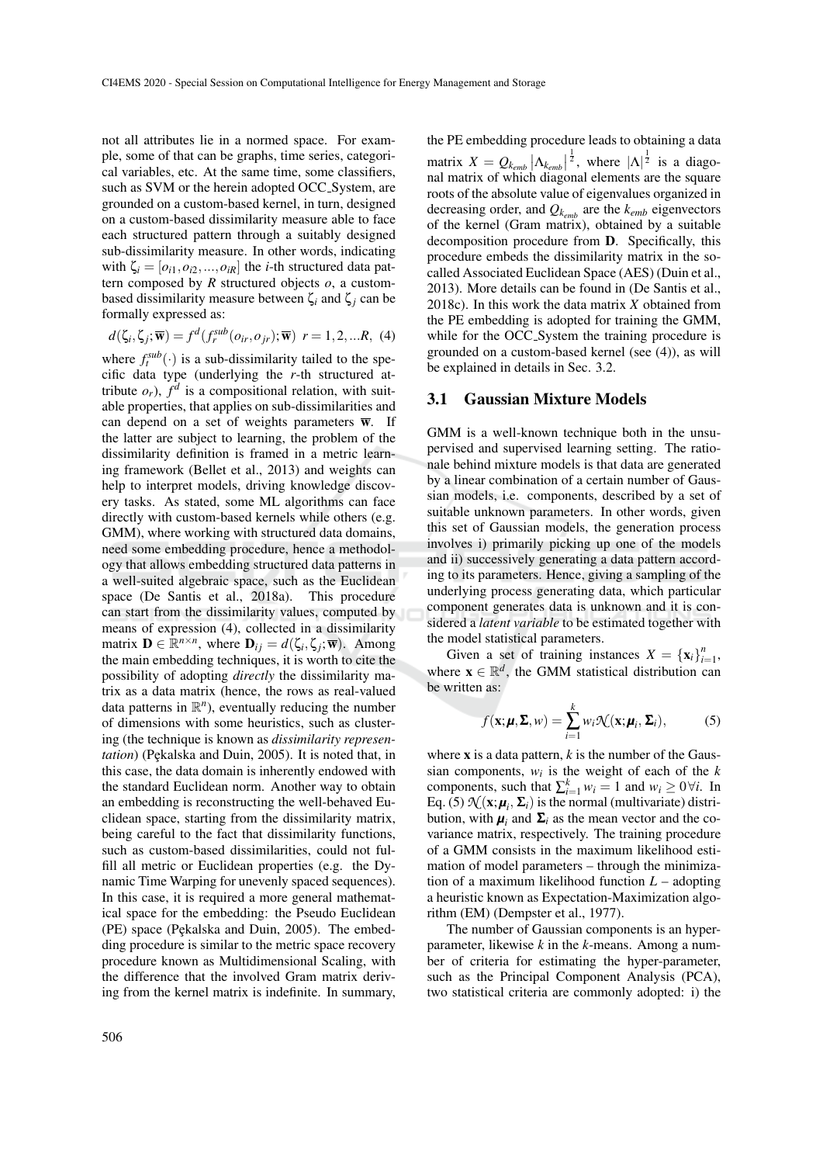not all attributes lie in a normed space. For example, some of that can be graphs, time series, categorical variables, etc. At the same time, some classifiers, such as SVM or the herein adopted OCC System, are grounded on a custom-based kernel, in turn, designed on a custom-based dissimilarity measure able to face each structured pattern through a suitably designed sub-dissimilarity measure. In other words, indicating with  $\zeta_i = [o_{i1}, o_{i2},...,o_{iR}]$  the *i*-th structured data pattern composed by *R* structured objects *o*, a custombased dissimilarity measure between ζ*<sup>i</sup>* and ζ*<sup>j</sup>* can be formally expressed as:

$$
d(\zeta_i, \zeta_j; \overline{\mathbf{w}}) = f^d(f_r^{sub}(o_{ir}, o_{jr}); \overline{\mathbf{w}}) \ r = 1, 2, \dots R, \tag{4}
$$

where  $f_t^{sub}(\cdot)$  is a sub-dissimilarity tailed to the specific data type (underlying the *r*-th structured attribute  $o_r$ ),  $f^d$  is a compositional relation, with suitable properties, that applies on sub-dissimilarities and can depend on a set of weights parameters  $\overline{\mathbf{w}}$ . If the latter are subject to learning, the problem of the dissimilarity definition is framed in a metric learning framework (Bellet et al., 2013) and weights can help to interpret models, driving knowledge discovery tasks. As stated, some ML algorithms can face directly with custom-based kernels while others (e.g. GMM), where working with structured data domains, need some embedding procedure, hence a methodology that allows embedding structured data patterns in a well-suited algebraic space, such as the Euclidean space (De Santis et al., 2018a). This procedure can start from the dissimilarity values, computed by means of expression (4), collected in a dissimilarity matrix  $\mathbf{D} \in \mathbb{R}^{n \times n}$ , where  $\mathbf{D}_{ij} = d(\zeta_i, \zeta_j; \overline{\mathbf{w}})$ . Among the main embedding techniques, it is worth to cite the possibility of adopting *directly* the dissimilarity matrix as a data matrix (hence, the rows as real-valued data patterns in  $\mathbb{R}^n$ ), eventually reducing the number of dimensions with some heuristics, such as clustering (the technique is known as *dissimilarity representation*) (Pękalska and Duin, 2005). It is noted that, in this case, the data domain is inherently endowed with the standard Euclidean norm. Another way to obtain an embedding is reconstructing the well-behaved Euclidean space, starting from the dissimilarity matrix, being careful to the fact that dissimilarity functions, such as custom-based dissimilarities, could not fulfill all metric or Euclidean properties (e.g. the Dynamic Time Warping for unevenly spaced sequences). In this case, it is required a more general mathematical space for the embedding: the Pseudo Euclidean (PE) space (Pękalska and Duin, 2005). The embedding procedure is similar to the metric space recovery procedure known as Multidimensional Scaling, with the difference that the involved Gram matrix deriving from the kernel matrix is indefinite. In summary,

the PE embedding procedure leads to obtaining a data matrix  $X = Q_{k_{emb}} |\Lambda_{k_{emb}}|$  $\frac{1}{2}$ , where  $|\Lambda|^{\frac{1}{2}}$  is a diagonal matrix of which diagonal elements are the square roots of the absolute value of eigenvalues organized in decreasing order, and *Qkemb* are the *kemb* eigenvectors of the kernel (Gram matrix), obtained by a suitable decomposition procedure from D. Specifically, this procedure embeds the dissimilarity matrix in the socalled Associated Euclidean Space (AES) (Duin et al., 2013). More details can be found in (De Santis et al., 2018c). In this work the data matrix *X* obtained from the PE embedding is adopted for training the GMM, while for the OCC\_System the training procedure is grounded on a custom-based kernel (see (4)), as will be explained in details in Sec. 3.2.

#### 3.1 Gaussian Mixture Models

GMM is a well-known technique both in the unsupervised and supervised learning setting. The rationale behind mixture models is that data are generated by a linear combination of a certain number of Gaussian models, i.e. components, described by a set of suitable unknown parameters. In other words, given this set of Gaussian models, the generation process involves i) primarily picking up one of the models and ii) successively generating a data pattern according to its parameters. Hence, giving a sampling of the underlying process generating data, which particular component generates data is unknown and it is considered a *latent variable* to be estimated together with the model statistical parameters.

Given a set of training instances  $X = {\mathbf{x}_i}_{i=1}^n$ , where  $\mathbf{x} \in \mathbb{R}^d$ , the GMM statistical distribution can be written as:

$$
f(\mathbf{x}; \boldsymbol{\mu}, \boldsymbol{\Sigma}, w) = \sum_{i=1}^{k} w_i \mathcal{N}(\mathbf{x}; \boldsymbol{\mu}_i, \boldsymbol{\Sigma}_i),
$$
 (5)

where  $x$  is a data pattern,  $k$  is the number of the Gaussian components,  $w_i$  is the weight of each of the  $k$ components, such that  $\sum_{i=1}^{k} w_i = 1$  and  $w_i \ge 0 \forall i$ . In Eq. (5)  $\mathcal{N}(\mathbf{x}; \boldsymbol{\mu}_i, \boldsymbol{\Sigma}_i)$  is the normal (multivariate) distribution, with  $\mu_i$  and  $\Sigma_i$  as the mean vector and the covariance matrix, respectively. The training procedure of a GMM consists in the maximum likelihood estimation of model parameters – through the minimization of a maximum likelihood function *L* – adopting a heuristic known as Expectation-Maximization algorithm (EM) (Dempster et al., 1977).

The number of Gaussian components is an hyperparameter, likewise *k* in the *k*-means. Among a number of criteria for estimating the hyper-parameter, such as the Principal Component Analysis (PCA), two statistical criteria are commonly adopted: i) the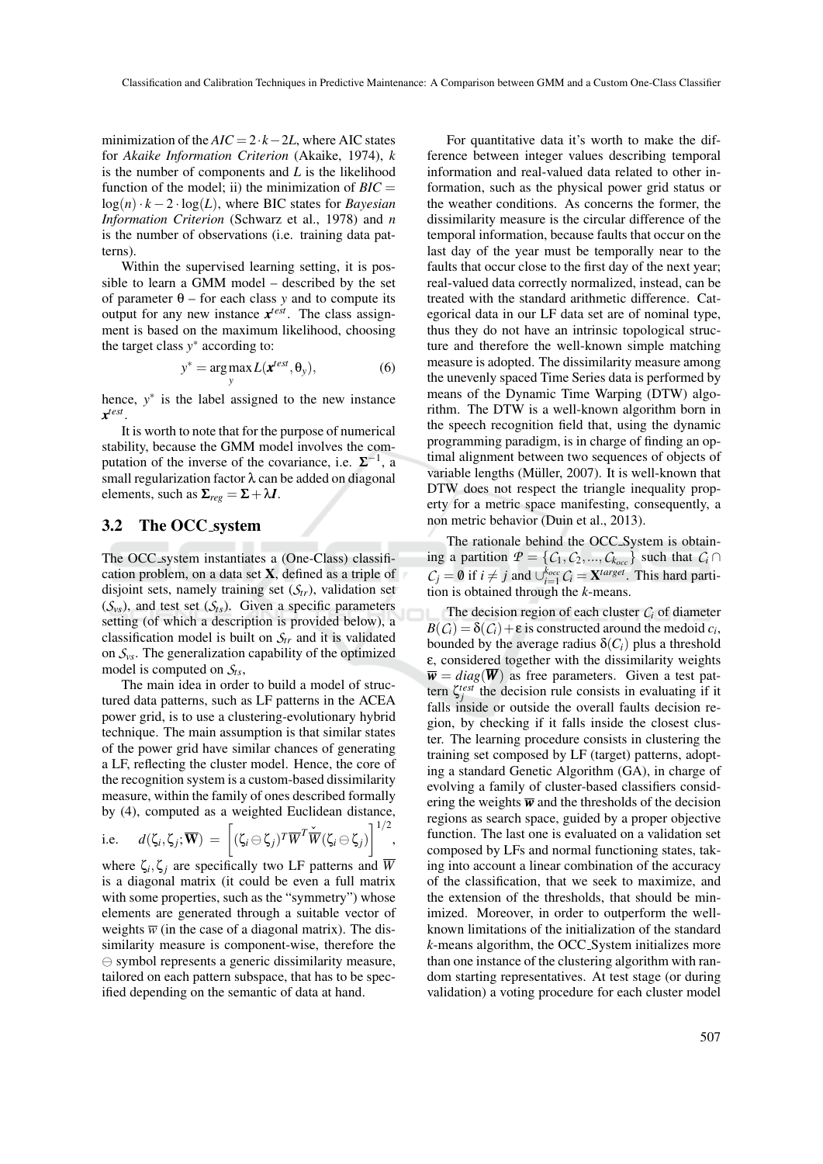minimization of the  $AIC = 2 \cdot k - 2L$ , where AIC states for *Akaike Information Criterion* (Akaike, 1974), *k* is the number of components and *L* is the likelihood function of the model; ii) the minimization of  $BIC =$  $log(n) \cdot k - 2 \cdot log(L)$ , where BIC states for *Bayesian Information Criterion* (Schwarz et al., 1978) and *n* is the number of observations (i.e. training data patterns).

Within the supervised learning setting, it is possible to learn a GMM model – described by the set of parameter θ – for each class *y* and to compute its output for any new instance *x test*. The class assignment is based on the maximum likelihood, choosing the target class  $y^*$  according to:

$$
y^* = \underset{y}{\arg \max} L(\mathbf{x}^{test}, \theta_y), \tag{6}
$$

hence,  $y^*$  is the label assigned to the new instance *x test* .

It is worth to note that for the purpose of numerical stability, because the GMM model involves the computation of the inverse of the covariance, i.e.  $\Sigma^{-1}$ , a small regularization factor λ can be added on diagonal elements, such as  $\Sigma_{reg} = \Sigma + \lambda I$ .

#### 3.2 The OCC system

The OCC system instantiates a (One-Class) classification problem, on a data set  $X$ , defined as a triple of disjoint sets, namely training set  $(S_{tr})$ , validation set  $(\mathcal{S}_{\nu s})$ , and test set  $(\mathcal{S}_{\tau s})$ . Given a specific parameters setting (of which a description is provided below), a classification model is built on *Str* and it is validated on  $S_{\nu s}$ . The generalization capability of the optimized model is computed on *Sts*,

The main idea in order to build a model of structured data patterns, such as LF patterns in the ACEA power grid, is to use a clustering-evolutionary hybrid technique. The main assumption is that similar states of the power grid have similar chances of generating a LF, reflecting the cluster model. Hence, the core of the recognition system is a custom-based dissimilarity measure, within the family of ones described formally by (4), computed as a weighted Euclidean distance,

i.e. 
$$
d(\zeta_i, \zeta_j; \overline{\mathbf{W}}) = \left[ (\zeta_i \ominus \zeta_j)^T \overline{W}^T \check{\overline{W}} (\zeta_i \ominus \zeta_j) \right]^{1/2}
$$

,

where  $\zeta_i, \zeta_j$  are specifically two LF patterns and  $\overline{W}$ is a diagonal matrix (it could be even a full matrix with some properties, such as the "symmetry") whose elements are generated through a suitable vector of weights  $\overline{w}$  (in the case of a diagonal matrix). The dissimilarity measure is component-wise, therefore the  $\ominus$  symbol represents a generic dissimilarity measure, tailored on each pattern subspace, that has to be specified depending on the semantic of data at hand.

For quantitative data it's worth to make the difference between integer values describing temporal information and real-valued data related to other information, such as the physical power grid status or the weather conditions. As concerns the former, the dissimilarity measure is the circular difference of the temporal information, because faults that occur on the last day of the year must be temporally near to the faults that occur close to the first day of the next year; real-valued data correctly normalized, instead, can be treated with the standard arithmetic difference. Categorical data in our LF data set are of nominal type, thus they do not have an intrinsic topological structure and therefore the well-known simple matching measure is adopted. The dissimilarity measure among the unevenly spaced Time Series data is performed by means of the Dynamic Time Warping (DTW) algorithm. The DTW is a well-known algorithm born in the speech recognition field that, using the dynamic programming paradigm, is in charge of finding an optimal alignment between two sequences of objects of variable lengths (Müller, 2007). It is well-known that DTW does not respect the triangle inequality property for a metric space manifesting, consequently, a non metric behavior (Duin et al., 2013).

The rationale behind the OCC System is obtaining a partition  $P = \{C_1, C_2, ..., C_{k_{occ}}\}$  such that  $C_i \cap$ *C*<sup>*j*</sup> = **0** if *i* ≠ *j* and  $\bigcup_{i=1}^{k_{occ}} C_i$  = **X**<sup>*target*</sup>. This hard partition is obtained through the *k*-means.

The decision region of each cluster  $C_i$  of diameter  $B(C_i) = \delta(C_i) + \varepsilon$  is constructed around the medoid  $c_i$ , bounded by the average radius  $\delta(C_i)$  plus a threshold ε, considered together with the dissimilarity weights  $\overline{\mathbf{w}} = diag(\overline{\mathbf{W}})$  as free parameters. Given a test pattern  $\zeta_j^{test}$  the decision rule consists in evaluating if it falls inside or outside the overall faults decision region, by checking if it falls inside the closest cluster. The learning procedure consists in clustering the training set composed by LF (target) patterns, adopting a standard Genetic Algorithm (GA), in charge of evolving a family of cluster-based classifiers considering the weights  $\overline{w}$  and the thresholds of the decision regions as search space, guided by a proper objective function. The last one is evaluated on a validation set composed by LFs and normal functioning states, taking into account a linear combination of the accuracy of the classification, that we seek to maximize, and the extension of the thresholds, that should be minimized. Moreover, in order to outperform the wellknown limitations of the initialization of the standard *k*-means algorithm, the OCC System initializes more than one instance of the clustering algorithm with random starting representatives. At test stage (or during validation) a voting procedure for each cluster model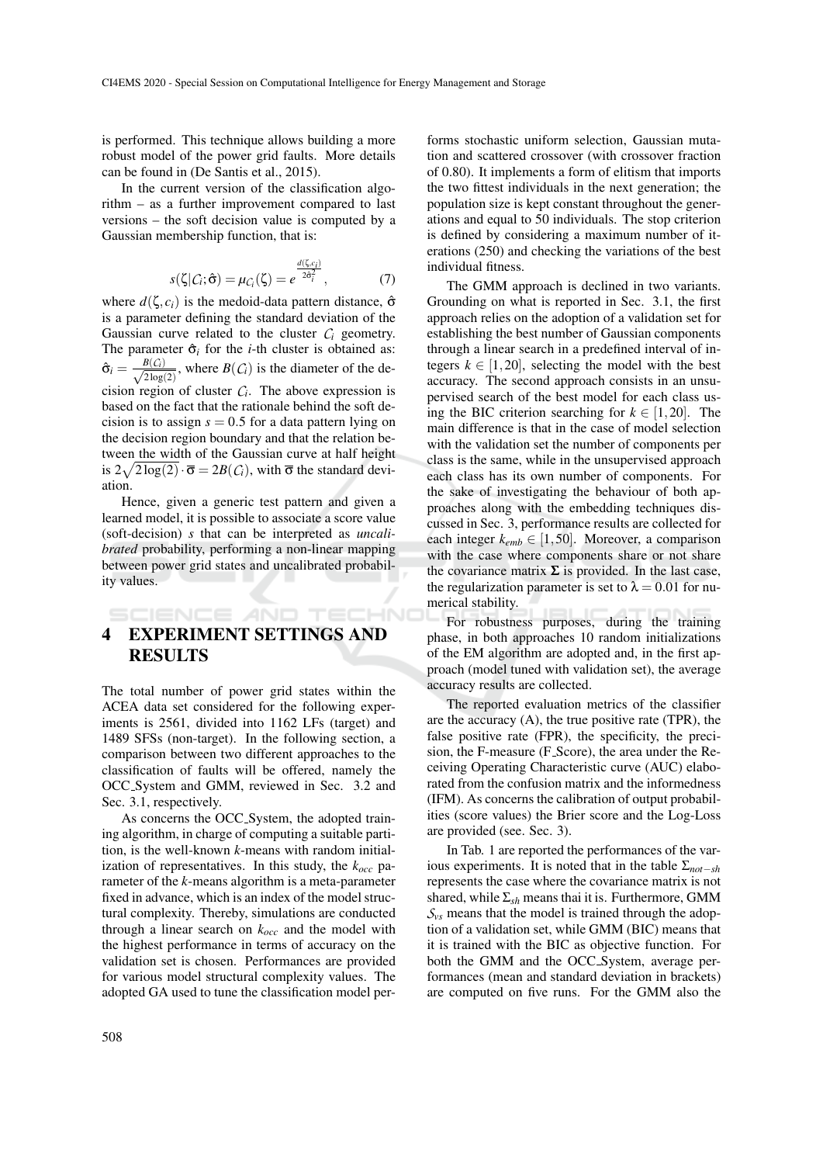is performed. This technique allows building a more robust model of the power grid faults. More details can be found in (De Santis et al., 2015).

In the current version of the classification algorithm – as a further improvement compared to last versions – the soft decision value is computed by a Gaussian membership function, that is:

$$
s(\zeta|C_i;\hat{\sigma}) = \mu_{C_i}(\zeta) = e^{\frac{d(\zeta,c_i)}{2\hat{\sigma}_i^2}}, \qquad (7)
$$

where  $d(\zeta, c_i)$  is the medoid-data pattern distance,  $\hat{\sigma}$ is a parameter defining the standard deviation of the Gaussian curve related to the cluster  $C_i$  geometry. The parameter  $\hat{\sigma}_i$  for the *i*-th cluster is obtained as:  $\hat{\sigma}_i = \frac{B(\mathcal{C}_i)}{\sqrt{2 \log n}}$  $\frac{B(C_i)}{2\log(2)}$ , where  $B(C_i)$  is the diameter of the decision region of cluster  $C_i$ . The above expression is based on the fact that the rationale behind the soft decision is to assign  $s = 0.5$  for a data pattern lying on the decision region boundary and that the relation between the width of the Gaussian curve at half height is  $2\sqrt{2\log(2)} \cdot \overline{\sigma} = 2B(\mathcal{C}_i)$ , with  $\overline{\sigma}$  the standard deviation.

Hence, given a generic test pattern and given a learned model, it is possible to associate a score value (soft-decision) *s* that can be interpreted as *uncalibrated* probability, performing a non-linear mapping between power grid states and uncalibrated probability values.

# 4 EXPERIMENT SETTINGS AND RESULTS

SCIENCE AND TECHNO

The total number of power grid states within the ACEA data set considered for the following experiments is 2561, divided into 1162 LFs (target) and 1489 SFSs (non-target). In the following section, a comparison between two different approaches to the classification of faults will be offered, namely the OCC System and GMM, reviewed in Sec. 3.2 and Sec. 3.1, respectively.

As concerns the OCC System, the adopted training algorithm, in charge of computing a suitable partition, is the well-known *k*-means with random initialization of representatives. In this study, the *kocc* parameter of the *k*-means algorithm is a meta-parameter fixed in advance, which is an index of the model structural complexity. Thereby, simulations are conducted through a linear search on *kocc* and the model with the highest performance in terms of accuracy on the validation set is chosen. Performances are provided for various model structural complexity values. The adopted GA used to tune the classification model per-

forms stochastic uniform selection, Gaussian mutation and scattered crossover (with crossover fraction of 0.80). It implements a form of elitism that imports the two fittest individuals in the next generation; the population size is kept constant throughout the generations and equal to 50 individuals. The stop criterion is defined by considering a maximum number of iterations (250) and checking the variations of the best individual fitness.

The GMM approach is declined in two variants. Grounding on what is reported in Sec. 3.1, the first approach relies on the adoption of a validation set for establishing the best number of Gaussian components through a linear search in a predefined interval of integers  $k \in [1, 20]$ , selecting the model with the best accuracy. The second approach consists in an unsupervised search of the best model for each class using the BIC criterion searching for  $k \in [1, 20]$ . The main difference is that in the case of model selection with the validation set the number of components per class is the same, while in the unsupervised approach each class has its own number of components. For the sake of investigating the behaviour of both approaches along with the embedding techniques discussed in Sec. 3, performance results are collected for each integer  $k_{emb} \in [1, 50]$ . Moreover, a comparison with the case where components share or not share the covariance matrix  $\Sigma$  is provided. In the last case, the regularization parameter is set to  $\lambda = 0.01$  for numerical stability.

For robustness purposes, during the training phase, in both approaches 10 random initializations of the EM algorithm are adopted and, in the first approach (model tuned with validation set), the average accuracy results are collected.

The reported evaluation metrics of the classifier are the accuracy (A), the true positive rate (TPR), the false positive rate (FPR), the specificity, the precision, the F-measure (F Score), the area under the Receiving Operating Characteristic curve (AUC) elaborated from the confusion matrix and the informedness (IFM). As concerns the calibration of output probabilities (score values) the Brier score and the Log-Loss are provided (see. Sec. 3).

In Tab. 1 are reported the performances of the various experiments. It is noted that in the table Σ*not*−*sh* represents the case where the covariance matrix is not shared, while  $\Sigma_{sh}$  means thai it is. Furthermore, GMM  $S_{\nu s}$  means that the model is trained through the adoption of a validation set, while GMM (BIC) means that it is trained with the BIC as objective function. For both the GMM and the OCC System, average performances (mean and standard deviation in brackets) are computed on five runs. For the GMM also the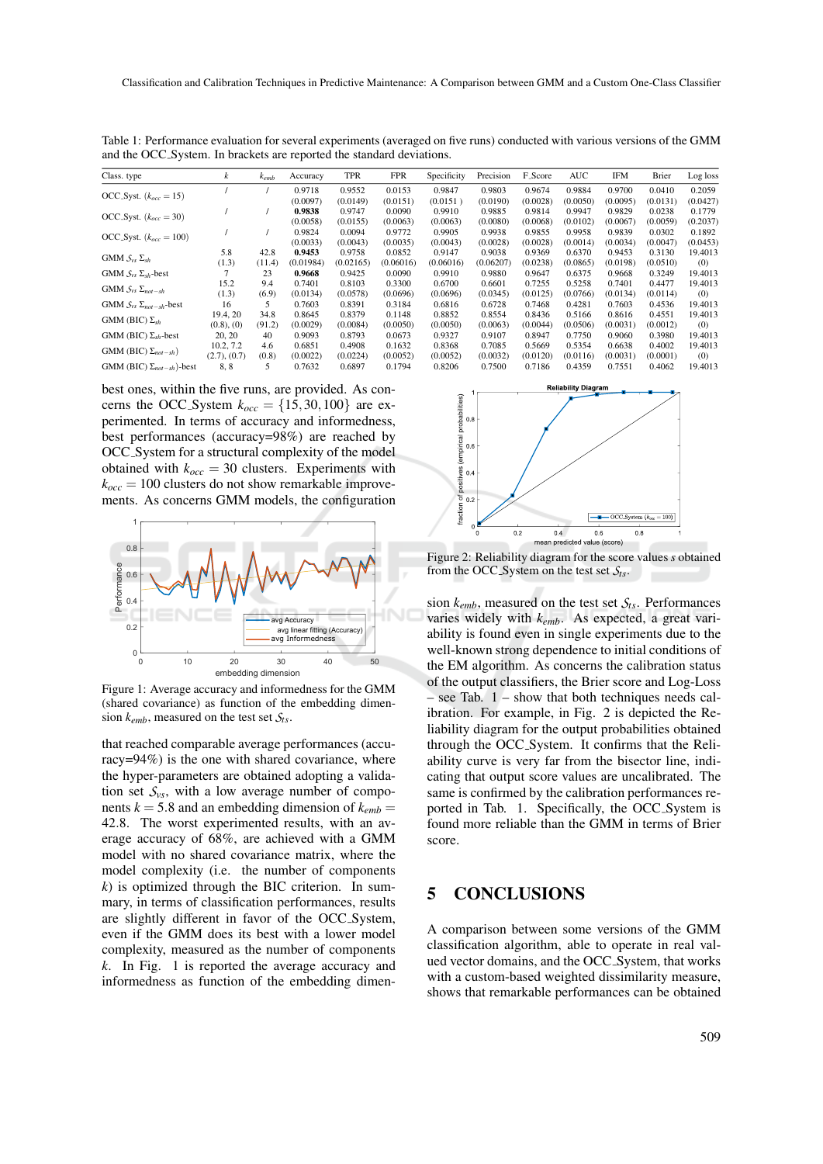| Class. type                        | k               | $k_{emb}$ | Accuracy  | <b>TPR</b> | <b>FPR</b> | Specificity | Precision | <b>F_Score</b> | AUC      | IFM      | Brier    | Log loss |
|------------------------------------|-----------------|-----------|-----------|------------|------------|-------------|-----------|----------------|----------|----------|----------|----------|
| OCC_Syst. $(k_{occ} = 15)$         |                 |           | 0.9718    | 0.9552     | 0.0153     | 0.9847      | 0.9803    | 0.9674         | 0.9884   | 0.9700   | 0.0410   | 0.2059   |
|                                    |                 |           | (0.0097)  | (0.0149)   | (0.0151)   | (0.0151)    | (0.0190)  | (0.0028)       | (0.0050) | (0.0095) | (0.0131) | (0.0427) |
| OCC_Syst. $(k_{occ} = 30)$         |                 |           | 0.9838    | 0.9747     | 0.0090     | 0.9910      | 0.9885    | 0.9814         | 0.9947   | 0.9829   | 0.0238   | 0.1779   |
|                                    |                 |           | (0.0058)  | (0.0155)   | (0.0063)   | (0.0063)    | (0.0080)  | (0.0068)       | (0.0102) | (0.0067) | (0.0059) | (0.2037) |
| OCC_Syst. $(k_{occ} = 100)$        |                 |           | 0.9824    | 0.0094     | 0.9772     | 0.9905      | 0.9938    | 0.9855         | 0.9958   | 0.9839   | 0.0302   | 0.1892   |
|                                    |                 |           | (0.0033)  | (0.0043)   | (0.0035)   | (0.0043)    | (0.0028)  | (0.0028)       | (0.0014) | (0.0034) | (0.0047) | (0.0453) |
| GMM $S_{vs} \Sigma_{sh}$           | 5.8             | 42.8      | 0.9453    | 0.9758     | 0.0852     | 0.9147      | 0.9038    | 0.9369         | 0.6370   | 0.9453   | 0.3130   | 19.4013  |
|                                    | (1.3)           | (11.4)    | (0.01984) | (0.02165)  | (0.06016)  | (0.06016)   | (0.06207) | (0.0238)       | (0.0865) | (0.0198) | (0.0510) | (0)      |
| GMM $S_{vs} \Sigma_{sh}$ -best     |                 | 23        | 0.9668    | 0.9425     | 0.0090     | 0.9910      | 0.9880    | 0.9647         | 0.6375   | 0.9668   | 0.3249   | 19.4013  |
| GMM $S_{vs} \Sigma_{not-sh}$       | 15.2            | 9.4       | 0.7401    | 0.8103     | 0.3300     | 0.6700      | 0.6601    | 0.7255         | 0.5258   | 0.7401   | 0.4477   | 19.4013  |
|                                    | (1.3)           | (6.9)     | (0.0134)  | (0.0578)   | (0.0696)   | (0.0696)    | (0.0345)  | (0.0125)       | (0.0766) | (0.0134) | (0.0114) | (0)      |
| GMM $S_{vs} \Sigma_{not-sh}$ -best | 16              | 5         | 0.7603    | 0.8391     | 0.3184     | 0.6816      | 0.6728    | 0.7468         | 0.4281   | 0.7603   | 0.4536   | 19.4013  |
| GMM (BIC) $\Sigma_{sh}$            | 19.4, 20        | 34.8      | 0.8645    | 0.8379     | 0.1148     | 0.8852      | 0.8554    | 0.8436         | 0.5166   | 0.8616   | 0.4551   | 19.4013  |
|                                    | $(0.8)$ , $(0)$ | (91.2)    | (0.0029)  | (0.0084)   | (0.0050)   | (0.0050)    | (0.0063)  | (0.0044)       | (0.0506) | (0.0031) | (0.0012) | (0)      |
| GMM (BIC) $\Sigma_{sh}$ -best      | 20, 20          | 40        | 0.9093    | 0.8793     | 0.0673     | 0.9327      | 0.9107    | 0.8947         | 0.7750   | 0.9060   | 0.3980   | 19.4013  |
| GMM (BIC) $\Sigma_{not-sh}$ )      | 10.2, 7.2       | 4.6       | 0.6851    | 0.4908     | 0.1632     | 0.8368      | 0.7085    | 0.5669         | 0.5354   | 0.6638   | 0.4002   | 19.4013  |
|                                    | (2.7), (0.7)    | (0.8)     | (0.0022)  | (0.0224)   | (0.0052)   | (0.0052)    | (0.0032)  | (0.0120)       | (0.0116) | (0.0031) | (0.0001) | (0)      |
| GMM (BIC) $\Sigma_{not-sh}$ )-best | 8,8             | 5         | 0.7632    | 0.6897     | 0.1794     | 0.8206      | 0.7500    | 0.7186         | 0.4359   | 0.7551   | 0.4062   | 19.4013  |

Table 1: Performance evaluation for several experiments (averaged on five runs) conducted with various versions of the GMM and the OCC System. In brackets are reported the standard deviations.

best ones, within the five runs, are provided. As concerns the OCC\_System  $k_{\text{occ}} = \{15, 30, 100\}$  are experimented. In terms of accuracy and informedness, best performances (accuracy=98%) are reached by OCC System for a structural complexity of the model obtained with  $k_{\text{occ}} = 30$  clusters. Experiments with  $k_{\text{occ}} = 100$  clusters do not show remarkable improvements. As concerns GMM models, the configuration



Figure 1: Average accuracy and informedness for the GMM (shared covariance) as function of the embedding dimension *kemb*, measured on the test set *Sts*.

that reached comparable average performances (accuracy=94%) is the one with shared covariance, where the hyper-parameters are obtained adopting a validation set  $S_{\nu s}$ , with a low average number of components  $k = 5.8$  and an embedding dimension of  $k_{emb} =$ 42.8. The worst experimented results, with an average accuracy of 68%, are achieved with a GMM model with no shared covariance matrix, where the model complexity (i.e. the number of components *k*) is optimized through the BIC criterion. In summary, in terms of classification performances, results are slightly different in favor of the OCC System, even if the GMM does its best with a lower model complexity, measured as the number of components *k*. In Fig. 1 is reported the average accuracy and informedness as function of the embedding dimen-



Figure 2: Reliability diagram for the score values *s* obtained from the OCC System on the test set *Sts*.

sion  $k_{emb}$ , measured on the test set  $S_{ts}$ . Performances varies widely with *kemb*. As expected, a great variability is found even in single experiments due to the well-known strong dependence to initial conditions of the EM algorithm. As concerns the calibration status of the output classifiers, the Brier score and Log-Loss – see Tab. 1 – show that both techniques needs calibration. For example, in Fig. 2 is depicted the Reliability diagram for the output probabilities obtained through the OCC System. It confirms that the Reliability curve is very far from the bisector line, indicating that output score values are uncalibrated. The same is confirmed by the calibration performances reported in Tab. 1. Specifically, the OCC System is found more reliable than the GMM in terms of Brier score.

### 5 CONCLUSIONS

A comparison between some versions of the GMM classification algorithm, able to operate in real valued vector domains, and the OCC System, that works with a custom-based weighted dissimilarity measure, shows that remarkable performances can be obtained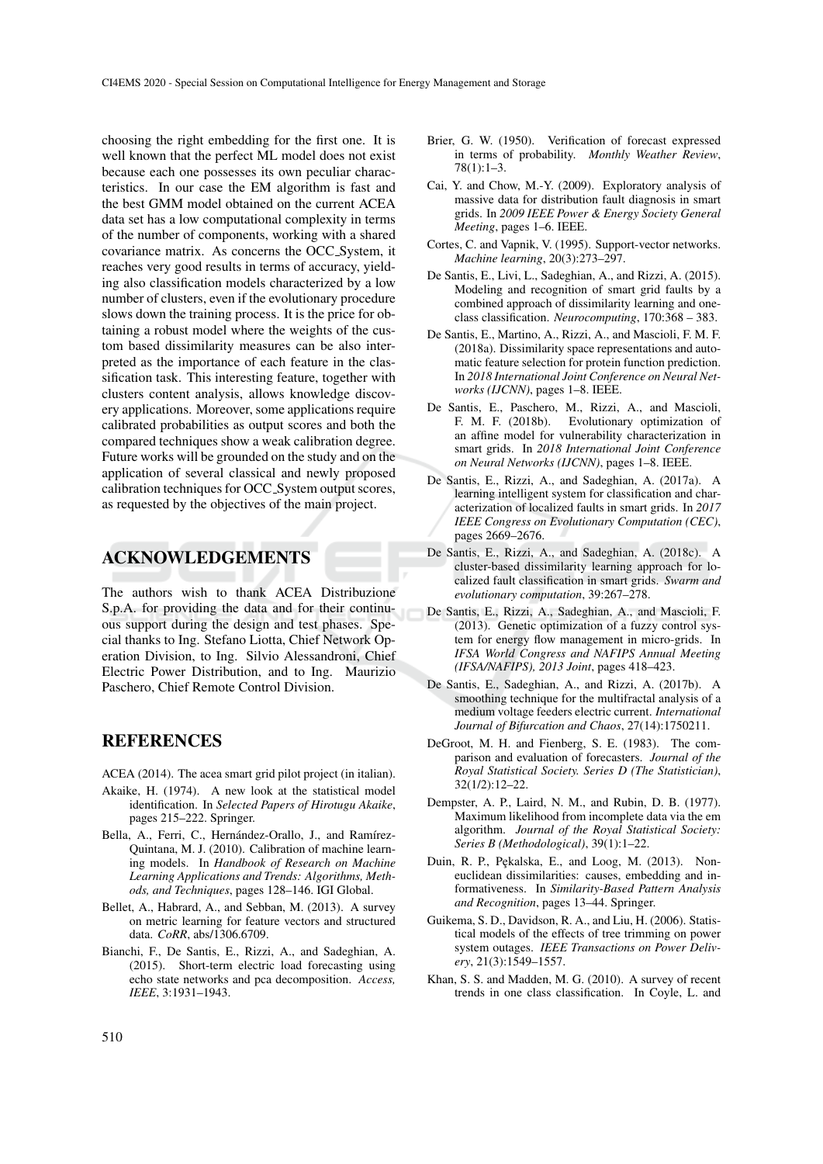choosing the right embedding for the first one. It is well known that the perfect ML model does not exist because each one possesses its own peculiar characteristics. In our case the EM algorithm is fast and the best GMM model obtained on the current ACEA data set has a low computational complexity in terms of the number of components, working with a shared covariance matrix. As concerns the OCC System, it reaches very good results in terms of accuracy, yielding also classification models characterized by a low number of clusters, even if the evolutionary procedure slows down the training process. It is the price for obtaining a robust model where the weights of the custom based dissimilarity measures can be also interpreted as the importance of each feature in the classification task. This interesting feature, together with clusters content analysis, allows knowledge discovery applications. Moreover, some applications require calibrated probabilities as output scores and both the compared techniques show a weak calibration degree. Future works will be grounded on the study and on the application of several classical and newly proposed calibration techniques for OCC System output scores, as requested by the objectives of the main project.

### ACKNOWLEDGEMENTS

The authors wish to thank ACEA Distribuzione S.p.A. for providing the data and for their continuous support during the design and test phases. Special thanks to Ing. Stefano Liotta, Chief Network Operation Division, to Ing. Silvio Alessandroni, Chief Electric Power Distribution, and to Ing. Maurizio Paschero, Chief Remote Control Division.

#### REFERENCES

- ACEA (2014). The acea smart grid pilot project (in italian).
- Akaike, H. (1974). A new look at the statistical model identification. In *Selected Papers of Hirotugu Akaike*, pages 215–222. Springer.
- Bella, A., Ferri, C., Hernández-Orallo, J., and Ramírez-Quintana, M. J. (2010). Calibration of machine learning models. In *Handbook of Research on Machine Learning Applications and Trends: Algorithms, Methods, and Techniques*, pages 128–146. IGI Global.
- Bellet, A., Habrard, A., and Sebban, M. (2013). A survey on metric learning for feature vectors and structured data. *CoRR*, abs/1306.6709.
- Bianchi, F., De Santis, E., Rizzi, A., and Sadeghian, A. (2015). Short-term electric load forecasting using echo state networks and pca decomposition. *Access, IEEE*, 3:1931–1943.
- Brier, G. W. (1950). Verification of forecast expressed in terms of probability. *Monthly Weather Review*, 78(1):1–3.
- Cai, Y. and Chow, M.-Y. (2009). Exploratory analysis of massive data for distribution fault diagnosis in smart grids. In *2009 IEEE Power & Energy Society General Meeting*, pages 1–6. IEEE.
- Cortes, C. and Vapnik, V. (1995). Support-vector networks. *Machine learning*, 20(3):273–297.
- De Santis, E., Livi, L., Sadeghian, A., and Rizzi, A. (2015). Modeling and recognition of smart grid faults by a combined approach of dissimilarity learning and oneclass classification. *Neurocomputing*, 170:368 – 383.
- De Santis, E., Martino, A., Rizzi, A., and Mascioli, F. M. F. (2018a). Dissimilarity space representations and automatic feature selection for protein function prediction. In *2018 International Joint Conference on Neural Networks (IJCNN)*, pages 1–8. IEEE.
- De Santis, E., Paschero, M., Rizzi, A., and Mascioli, F. M. F. (2018b). Evolutionary optimization of an affine model for vulnerability characterization in smart grids. In *2018 International Joint Conference on Neural Networks (IJCNN)*, pages 1–8. IEEE.
- De Santis, E., Rizzi, A., and Sadeghian, A. (2017a). A learning intelligent system for classification and characterization of localized faults in smart grids. In *2017 IEEE Congress on Evolutionary Computation (CEC)*, pages 2669–2676.
- De Santis, E., Rizzi, A., and Sadeghian, A. (2018c). A cluster-based dissimilarity learning approach for localized fault classification in smart grids. *Swarm and evolutionary computation*, 39:267–278.
- De Santis, E., Rizzi, A., Sadeghian, A., and Mascioli, F. (2013). Genetic optimization of a fuzzy control system for energy flow management in micro-grids. In *IFSA World Congress and NAFIPS Annual Meeting (IFSA/NAFIPS), 2013 Joint*, pages 418–423.
- De Santis, E., Sadeghian, A., and Rizzi, A. (2017b). A smoothing technique for the multifractal analysis of a medium voltage feeders electric current. *International Journal of Bifurcation and Chaos*, 27(14):1750211.
- DeGroot, M. H. and Fienberg, S. E. (1983). The comparison and evaluation of forecasters. *Journal of the Royal Statistical Society. Series D (The Statistician)*,  $32(1/2):12-22.$
- Dempster, A. P., Laird, N. M., and Rubin, D. B. (1977). Maximum likelihood from incomplete data via the em algorithm. *Journal of the Royal Statistical Society: Series B (Methodological)*, 39(1):1–22.
- Duin, R. P., Pękalska, E., and Loog, M. (2013). Noneuclidean dissimilarities: causes, embedding and informativeness. In *Similarity-Based Pattern Analysis and Recognition*, pages 13–44. Springer.
- Guikema, S. D., Davidson, R. A., and Liu, H. (2006). Statistical models of the effects of tree trimming on power system outages. *IEEE Transactions on Power Delivery*, 21(3):1549–1557.
- Khan, S. S. and Madden, M. G. (2010). A survey of recent trends in one class classification. In Coyle, L. and